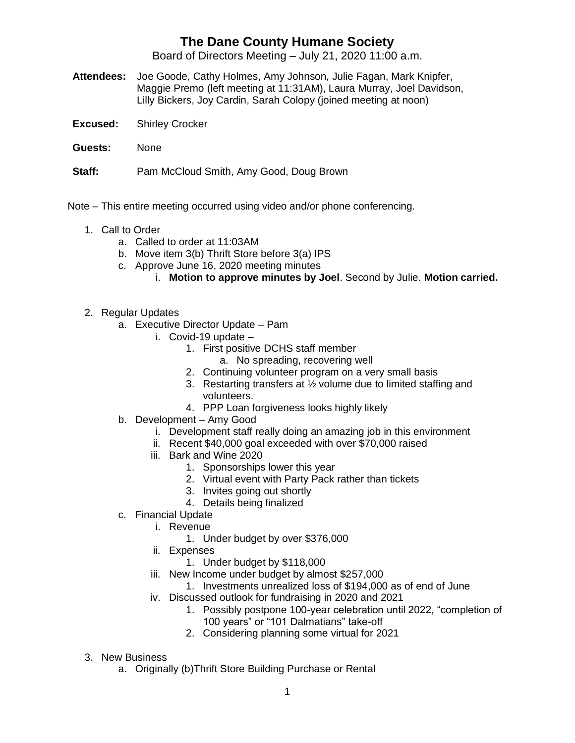## **The Dane County Humane Society**

Board of Directors Meeting – July 21, 2020 11:00 a.m.

- **Attendees:** Joe Goode, Cathy Holmes, Amy Johnson, Julie Fagan, Mark Knipfer, Maggie Premo (left meeting at 11:31AM), Laura Murray, Joel Davidson, Lilly Bickers, Joy Cardin, Sarah Colopy (joined meeting at noon)
- **Excused:** Shirley Crocker
- **Guests:** None

**Staff:** Pam McCloud Smith, Amy Good, Doug Brown

- Note This entire meeting occurred using video and/or phone conferencing.
	- 1. Call to Order
		- a. Called to order at 11:03AM
		- b. Move item 3(b) Thrift Store before 3(a) IPS
		- c. Approve June 16, 2020 meeting minutes
			- i. **Motion to approve minutes by Joel**. Second by Julie. **Motion carried.**
	- 2. Regular Updates
		- a. Executive Director Update Pam
			- i. Covid-19 update
				- 1. First positive DCHS staff member
					- a. No spreading, recovering well
				- 2. Continuing volunteer program on a very small basis
				- 3. Restarting transfers at ½ volume due to limited staffing and volunteers.
				- 4. PPP Loan forgiveness looks highly likely
		- b. Development Amy Good
			- i. Development staff really doing an amazing job in this environment
			- ii. Recent \$40,000 goal exceeded with over \$70,000 raised
			- iii. Bark and Wine 2020
				- 1. Sponsorships lower this year
				- 2. Virtual event with Party Pack rather than tickets
				- 3. Invites going out shortly
				- 4. Details being finalized
		- c. Financial Update
			- i. Revenue
				- 1. Under budget by over \$376,000
			- ii. Expenses
				- 1. Under budget by \$118,000
			- iii. New Income under budget by almost \$257,000
				- 1. Investments unrealized loss of \$194,000 as of end of June
			- iv. Discussed outlook for fundraising in 2020 and 2021
				- 1. Possibly postpone 100-year celebration until 2022, "completion of 100 years" or "101 Dalmatians" take-off
				- 2. Considering planning some virtual for 2021

## 3. New Business

a. Originally (b)Thrift Store Building Purchase or Rental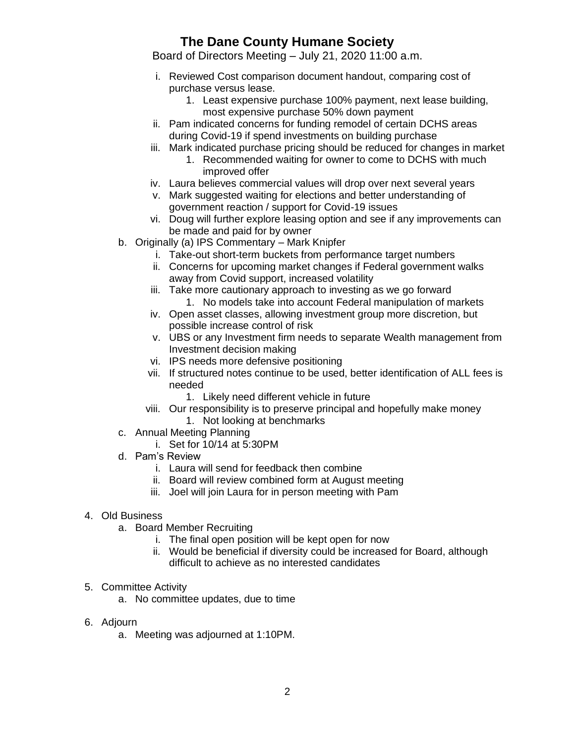## **The Dane County Humane Society**

Board of Directors Meeting – July 21, 2020 11:00 a.m.

- i. Reviewed Cost comparison document handout, comparing cost of purchase versus lease.
	- 1. Least expensive purchase 100% payment, next lease building, most expensive purchase 50% down payment
- ii. Pam indicated concerns for funding remodel of certain DCHS areas during Covid-19 if spend investments on building purchase
- iii. Mark indicated purchase pricing should be reduced for changes in market
	- 1. Recommended waiting for owner to come to DCHS with much improved offer
- iv. Laura believes commercial values will drop over next several years
- v. Mark suggested waiting for elections and better understanding of government reaction / support for Covid-19 issues
- vi. Doug will further explore leasing option and see if any improvements can be made and paid for by owner
- b. Originally (a) IPS Commentary Mark Knipfer
	- i. Take-out short-term buckets from performance target numbers
	- ii. Concerns for upcoming market changes if Federal government walks away from Covid support, increased volatility
	- iii. Take more cautionary approach to investing as we go forward 1. No models take into account Federal manipulation of markets
	- iv. Open asset classes, allowing investment group more discretion, but possible increase control of risk
	- v. UBS or any Investment firm needs to separate Wealth management from Investment decision making
	- vi. IPS needs more defensive positioning
	- vii. If structured notes continue to be used, better identification of ALL fees is needed
		- 1. Likely need different vehicle in future
	- viii. Our responsibility is to preserve principal and hopefully make money 1. Not looking at benchmarks
- c. Annual Meeting Planning
	- i. Set for 10/14 at 5:30PM
- d. Pam's Review
	- i. Laura will send for feedback then combine
	- ii. Board will review combined form at August meeting
	- iii. Joel will join Laura for in person meeting with Pam
- 4. Old Business
	- a. Board Member Recruiting
		- i. The final open position will be kept open for now
		- ii. Would be beneficial if diversity could be increased for Board, although difficult to achieve as no interested candidates
- 5. Committee Activity
	- a. No committee updates, due to time
- 6. Adjourn
	- a. Meeting was adjourned at 1:10PM.